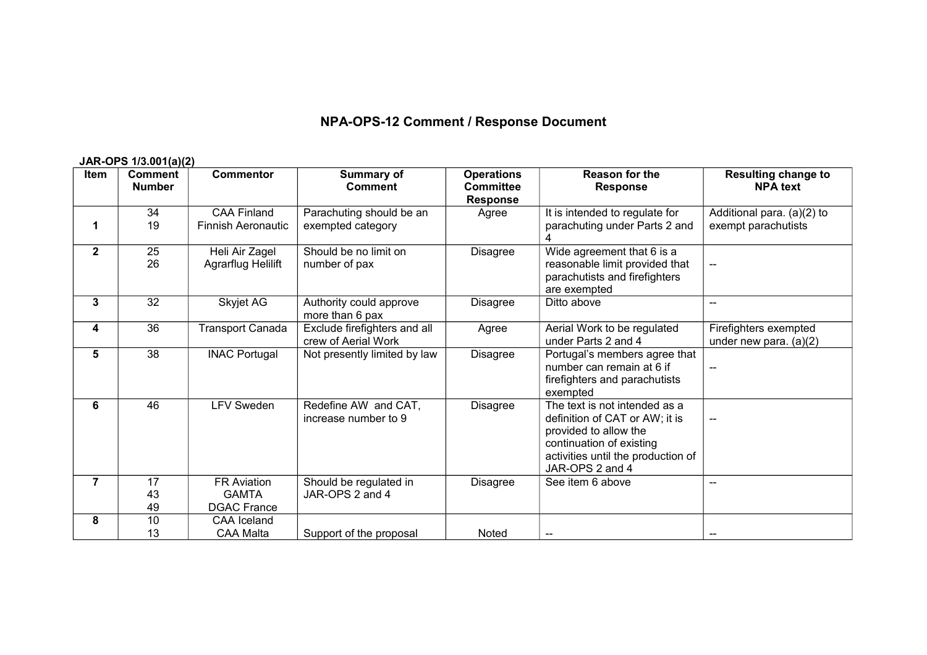## **NPA-OPS-12 Comment / Response Document**

## **JAR-OPS 1/3.001(a)(2)**

| <b>Item</b>    | <b>Comment</b><br><b>Number</b> | <b>Commentor</b>          | Summary of<br><b>Comment</b> | <b>Operations</b><br><b>Committee</b> | <b>Reason for the</b><br><b>Response</b> | <b>Resulting change to</b><br><b>NPA</b> text |
|----------------|---------------------------------|---------------------------|------------------------------|---------------------------------------|------------------------------------------|-----------------------------------------------|
|                |                                 |                           |                              | <b>Response</b>                       |                                          |                                               |
|                | 34                              | <b>CAA Finland</b>        | Parachuting should be an     | Agree                                 | It is intended to regulate for           | Additional para. (a)(2) to                    |
| 1              | 19                              | <b>Finnish Aeronautic</b> | exempted category            |                                       | parachuting under Parts 2 and<br>4       | exempt parachutists                           |
| $\mathbf{2}$   | 25                              | Heli Air Zagel            | Should be no limit on        | <b>Disagree</b>                       | Wide agreement that 6 is a               |                                               |
|                | 26                              | <b>Agrarflug Helilift</b> | number of pax                |                                       | reasonable limit provided that           | $-$                                           |
|                |                                 |                           |                              |                                       | parachutists and firefighters            |                                               |
|                |                                 |                           |                              |                                       | are exempted                             |                                               |
| 3              | 32                              | Skyjet AG                 | Authority could approve      | Disagree                              | Ditto above                              | $-$                                           |
|                |                                 |                           | more than 6 pax              |                                       |                                          |                                               |
| 4              | 36                              | <b>Transport Canada</b>   | Exclude firefighters and all | Agree                                 | Aerial Work to be regulated              | Firefighters exempted                         |
|                |                                 |                           | crew of Aerial Work          |                                       | under Parts 2 and 4                      | under new para. $(a)(2)$                      |
| 5              | 38                              | <b>INAC Portugal</b>      | Not presently limited by law | <b>Disagree</b>                       | Portugal's members agree that            |                                               |
|                |                                 |                           |                              |                                       | number can remain at 6 if                |                                               |
|                |                                 |                           |                              |                                       | firefighters and parachutists            |                                               |
|                |                                 |                           |                              |                                       | exempted                                 |                                               |
| 6              | 46                              | <b>LFV Sweden</b>         | Redefine AW and CAT,         | <b>Disagree</b>                       | The text is not intended as a            |                                               |
|                |                                 |                           | increase number to 9         |                                       | definition of CAT or AW; it is           |                                               |
|                |                                 |                           |                              |                                       | provided to allow the                    |                                               |
|                |                                 |                           |                              |                                       | continuation of existing                 |                                               |
|                |                                 |                           |                              |                                       | activities until the production of       |                                               |
|                |                                 |                           |                              |                                       | JAR-OPS 2 and 4                          |                                               |
| $\overline{7}$ | 17                              | <b>FR Aviation</b>        | Should be regulated in       | <b>Disagree</b>                       | See item 6 above                         | $-$                                           |
|                | 43                              | <b>GAMTA</b>              | JAR-OPS 2 and 4              |                                       |                                          |                                               |
|                | 49                              | <b>DGAC France</b>        |                              |                                       |                                          |                                               |
| 8              | 10                              | CAA Iceland               |                              |                                       |                                          |                                               |
|                | 13                              | <b>CAA Malta</b>          | Support of the proposal      | Noted                                 |                                          |                                               |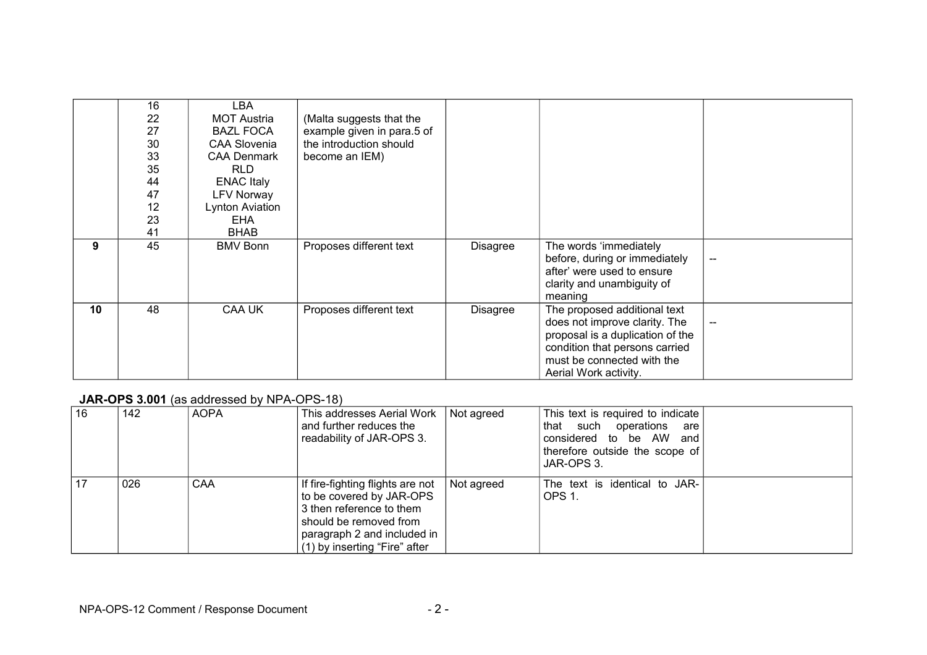|    | 16<br>22<br>27<br>30<br>33<br>35<br>44<br>47<br>12<br>23<br>41 | LBA<br><b>MOT Austria</b><br><b>BAZL FOCA</b><br><b>CAA Slovenia</b><br><b>CAA Denmark</b><br><b>RLD</b><br><b>ENAC Italy</b><br><b>LFV Norway</b><br>Lynton Aviation<br><b>EHA</b><br><b>BHAB</b> | (Malta suggests that the<br>example given in para.5 of<br>the introduction should<br>become an IEM) |                 |                                                                                                                                                                                            |     |
|----|----------------------------------------------------------------|----------------------------------------------------------------------------------------------------------------------------------------------------------------------------------------------------|-----------------------------------------------------------------------------------------------------|-----------------|--------------------------------------------------------------------------------------------------------------------------------------------------------------------------------------------|-----|
| 9  | 45                                                             | <b>BMV Bonn</b>                                                                                                                                                                                    | Proposes different text                                                                             | <b>Disagree</b> | The words 'immediately<br>before, during or immediately<br>after' were used to ensure<br>clarity and unambiguity of<br>meaning                                                             | $-$ |
| 10 | 48                                                             | CAA UK                                                                                                                                                                                             | Proposes different text                                                                             | Disagree        | The proposed additional text<br>does not improve clarity. The<br>proposal is a duplication of the<br>condition that persons carried<br>must be connected with the<br>Aerial Work activity. |     |

## **JAR-OPS 3.001** (as addressed by NPA-OPS-18)

| 16 | 142 | <b>AOPA</b> | This addresses Aerial Work<br>and further reduces the<br>readability of JAR-OPS 3.                                                                                                 | Not agreed | This text is required to indicate<br>that such operations<br>are<br>considered to be AW and<br>therefore outside the scope of<br>JAR-OPS 3. |  |
|----|-----|-------------|------------------------------------------------------------------------------------------------------------------------------------------------------------------------------------|------------|---------------------------------------------------------------------------------------------------------------------------------------------|--|
| 17 | 026 | CAA         | If fire-fighting flights are not<br>to be covered by JAR-OPS<br>3 then reference to them<br>should be removed from<br>paragraph 2 and included in<br>(1) by inserting "Fire" after | Not agreed | The text is identical to JAR-<br>OPS 1.                                                                                                     |  |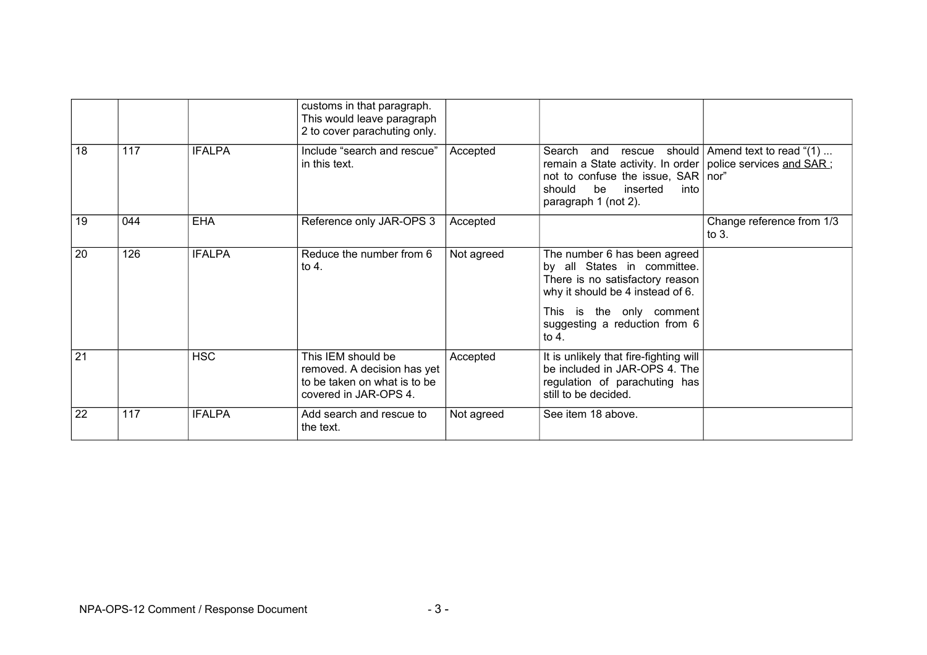|    |     |               | customs in that paragraph.<br>This would leave paragraph<br>2 to cover parachuting only.                   |            |                                                                                                                                                                                                            |                                        |
|----|-----|---------------|------------------------------------------------------------------------------------------------------------|------------|------------------------------------------------------------------------------------------------------------------------------------------------------------------------------------------------------------|----------------------------------------|
| 18 | 117 | <b>IFALPA</b> | Include "search and rescue"<br>in this text.                                                               | Accepted   | Search and rescue<br>remain a State activity. In order police services and SAR;<br>not to confuse the issue, SAR nor"<br>inserted<br>should<br>be<br>into<br>paragraph 1 (not 2).                          | should $\vert$ Amend text to read "(1) |
| 19 | 044 | <b>EHA</b>    | Reference only JAR-OPS 3                                                                                   | Accepted   |                                                                                                                                                                                                            | Change reference from 1/3<br>to $3.$   |
| 20 | 126 | <b>IFALPA</b> | Reduce the number from 6<br>to 4.                                                                          | Not agreed | The number 6 has been agreed<br>by all States in committee.<br>There is no satisfactory reason<br>why it should be 4 instead of 6.<br>This is the only comment<br>suggesting a reduction from 6<br>to $4.$ |                                        |
| 21 |     | <b>HSC</b>    | This IEM should be<br>removed. A decision has yet<br>to be taken on what is to be<br>covered in JAR-OPS 4. | Accepted   | It is unlikely that fire-fighting will<br>be included in JAR-OPS 4. The<br>regulation of parachuting has<br>still to be decided.                                                                           |                                        |
| 22 | 117 | <b>IFALPA</b> | Add search and rescue to<br>the text.                                                                      | Not agreed | See item 18 above.                                                                                                                                                                                         |                                        |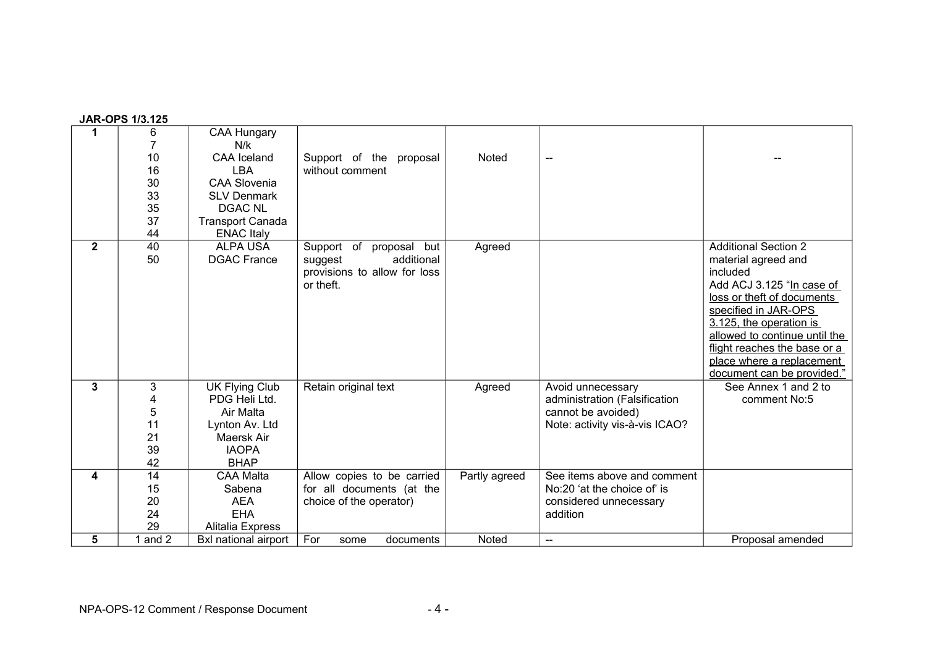| 1            | 6         | <b>CAA Hungary</b>          |                                  |               |                                |                               |
|--------------|-----------|-----------------------------|----------------------------------|---------------|--------------------------------|-------------------------------|
|              |           | N/k                         |                                  |               |                                |                               |
|              | 10        | <b>CAA</b> Iceland          | Support of the<br>proposal       | <b>Noted</b>  | $\overline{\phantom{a}}$       |                               |
|              | 16        | LBA                         | without comment                  |               |                                |                               |
|              | 30        | <b>CAA Slovenia</b>         |                                  |               |                                |                               |
|              | 33        | <b>SLV Denmark</b>          |                                  |               |                                |                               |
|              | 35        | <b>DGAC NL</b>              |                                  |               |                                |                               |
|              | 37        | <b>Transport Canada</b>     |                                  |               |                                |                               |
|              | 44        | <b>ENAC Italy</b>           |                                  |               |                                |                               |
| $\mathbf{2}$ | 40        | <b>ALPA USA</b>             | Support<br>of<br>proposal<br>but | Agreed        |                                | <b>Additional Section 2</b>   |
|              | 50        | <b>DGAC France</b>          | additional<br>suggest            |               |                                | material agreed and           |
|              |           |                             | provisions to allow for loss     |               |                                | included                      |
|              |           |                             | or theft.                        |               |                                | Add ACJ 3.125 "In case of     |
|              |           |                             |                                  |               |                                | loss or theft of documents    |
|              |           |                             |                                  |               |                                | specified in JAR-OPS          |
|              |           |                             |                                  |               |                                | 3.125, the operation is       |
|              |           |                             |                                  |               |                                | allowed to continue until the |
|              |           |                             |                                  |               |                                | flight reaches the base or a  |
|              |           |                             |                                  |               |                                | place where a replacement     |
|              |           |                             |                                  |               |                                | document can be provided."    |
| 3            | 3         | <b>UK Flying Club</b>       | Retain original text             | Agreed        | Avoid unnecessary              | See Annex 1 and 2 to          |
|              | 4         | PDG Heli Ltd.               |                                  |               | administration (Falsification  | comment No:5                  |
|              | 5         | Air Malta                   |                                  |               | cannot be avoided)             |                               |
|              | 11        | Lynton Av. Ltd              |                                  |               | Note: activity vis-à-vis ICAO? |                               |
|              | 21        | Maersk Air                  |                                  |               |                                |                               |
|              | 39        | <b>IAOPA</b>                |                                  |               |                                |                               |
|              | 42        | <b>BHAP</b>                 |                                  |               |                                |                               |
| 4            | 14        | <b>CAA Malta</b>            | Allow copies to be carried       | Partly agreed | See items above and comment    |                               |
|              | 15        | Sabena                      | for all documents (at the        |               | No:20 'at the choice of' is    |                               |
|              | 20        | <b>AEA</b>                  | choice of the operator)          |               | considered unnecessary         |                               |
|              | 24        | <b>EHA</b>                  |                                  |               | addition                       |                               |
|              | 29        | Alitalia Express            |                                  |               |                                |                               |
| 5            | 1 and $2$ | <b>Bxl national airport</b> | For<br>documents<br>some         | <b>Noted</b>  | $\qquad \qquad \text{---}$     | Proposal amended              |

## **JAR-OPS 1/3.125**